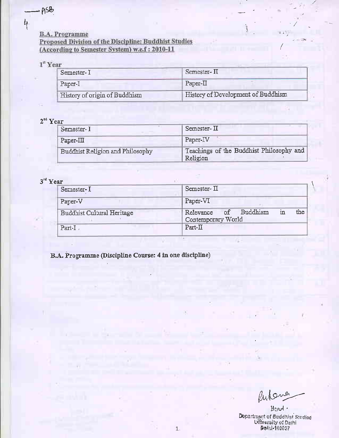$\frac{1}{2}$ 

### **B.A. Programme**

### Proposed Division of the Discipline: Buddhist Studies (According to Semester System) w.e.f: 2010-11

## $1<sup>th</sup>$  Year

| Semester-I                    | Semester- II                       |
|-------------------------------|------------------------------------|
| Paper-I                       | $Paper-II$                         |
| History of origin of Buddhism | History of Development of Buddhism |

# $2^{nd}$  Year

| Semester- I                      | Semester-II                                          |
|----------------------------------|------------------------------------------------------|
| $Paper-II$                       | Paper-IV                                             |
| Buddhist Religion and Philosophy | Teachings of the Buddhist Philosophy and<br>Religion |

# $3^{rd}$  Year

| Semester-I                 | Semester-II                                                 |
|----------------------------|-------------------------------------------------------------|
| Paper-V                    | Paper-VI                                                    |
| Buddhist Cultural Heritage | the<br>Relevance of Buddhism<br>$1$ n<br>Contemporary World |
| Part-I.                    | Part-II                                                     |

 $1.$ 

B.A. Programme (Discipline Course: 4 in one discipline)

Pulane

 $\frac{1}{2}$ 

Head. Department of Buddhist Studies<br>University of Dethi<br>Delhi-140007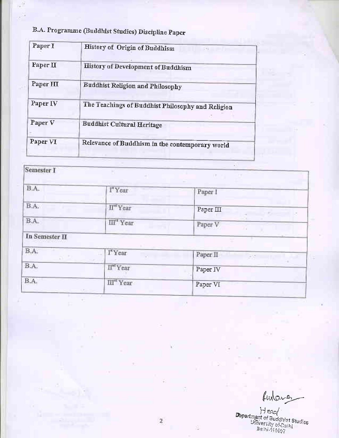# B.A. Programme (Buddhist Studies) Discipline Paper

 $\mathsf{L}$ 

| Paper I   | History of Origin of Buddhism<br>$\langle\cdot\rangle$ |  |
|-----------|--------------------------------------------------------|--|
| Paper II  | History of Development of Buddhism                     |  |
| Paper III | <b>Buddhist Religion and Philosophy</b>                |  |
| Paper IV  | The Teachings of Buddhist Philosophy and Religion      |  |
| Paper V   | <b>Buddhist Cultural Heritage</b>                      |  |
| Paper VI  | Relevance of Buddhism in the contemporary world        |  |
|           |                                                        |  |

| Semester I      |                                  | 1.7             |
|-----------------|----------------------------------|-----------------|
| B.A.            | I"Year                           | Paper 1         |
| B.A.            | $\Pi^{\textrm{\tiny{eff}}}$ Year | Paper III       |
| $\mathrm{B.A.}$ | III" Year                        | Paper V         |
| In Semester II  |                                  |                 |
| B.A.            | I"Year                           | Paper II<br>-15 |
| B.A.            | II <sup>nd</sup> Year            | Paper IV        |
| $\mathbf{B.A.}$ | III" Year<br>$1.8 - 1.5$         | Paper VI        |

 $\pm 1.5$ 

Autores

Head<br>Department of Buddhist Studies<br>University of Delhi<br>Belhi-140007

ŵ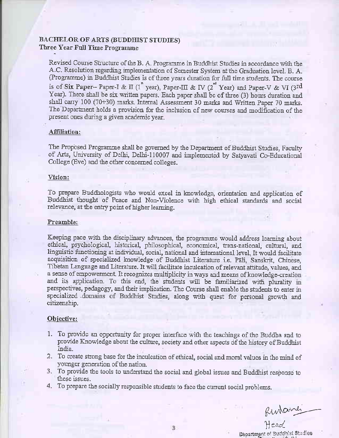#### **BACHELOR OF ARTS (BUDDHIST STUDIES)** Three Year Full Time Programme

Revised Course Structure of the B. A. Programme in Buddhist Studies in accordance with the A.C. Resolution regarding implementation of Semester System at the Graduation level. B. A. (Programme) in Buddhist Studies is of three years duration for full time students. The course is of Six Paper-- Paper-I & II (1<sup>n</sup> year), Paper-III & IV (2<sup>nd</sup> Year) and Paper-V & VI (3<sup>rd</sup> Year). There shall be six written papers. Each paper shall be of three (3) hours duration and shall carry 100 (70+30) marks. Internal Assessment 30 marks and Written Paper 70 marks. The Department holds a provision for the inclusion of new courses and modification of the present ones during a given academic year.

#### Affiliation:

The Proposed Programme shall be governed by the Department of Buddhist Studies, Faculty of Arts, University of Delhi, Delhi-110007 and implemented by Satyavati Co-Educational College (Eve) and the other concerned colleges.

#### Vision:

To prepare Buddhologists who would excel in knowledge, orientation and application of Buddhist thought of Peace and Non-Violence with high ethical standards and social relevance, at the entry point of higher learning.

#### Preamble:

Keeping pace with the disciplinary advances, the programme would address learning about ethical, psychological, historical, philosophical, economical, trans-national, cultural, and linguistic functioning at individual, social, national and international level. It would facilitate acquisition of specialized knowledge of Buddhist Literature i.e. Pali, Sanskrit, Chinese, Tibetan Language and Literature. It will facilitate inculcation of relevant attitude, values, and a sense of empowerment. It recognizes multiplicity in ways and means of knowledge-creation and its application. To this end, the students will be familiarized with plurality in perspectives, pedagogy, and their implication. The Course shall enable the students to enter in specialized domains of Buddhist Studies, along with quest for personal growth and citizenship.

#### Objective:

- 1. To provide an opportunity for proper interface with the teachings of the Buddha and to provide Knowledge about the culture, society and other aspects of the history of Buddhist India.
- 2. To create strong base for the inculcation of ethical, social and moral values in the mind of younger generation of the nation.
- 3. To provide the tools to understand the social and global issues and Buddhist response to these issues.
- 4. To prepare the socially responsible students to face the current social problems.

Runderner

Department of Buddhist Studies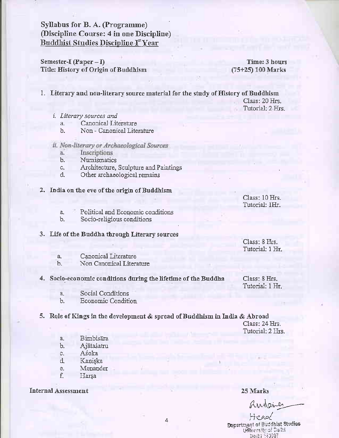# Syllabus for B. A. (Programme) (Discipline Course: 4 in one Discipline) Buddhist Studies Discipline Ist Year

Semester-I (Paper  $-$  I) Title: History of Origin of Buddhism

Time: 3 hours (75+25) 100 Marks

1. Literary and non-literary source material for the study of History of Buddhism

Class: 20 Hrs. Tutorial: 2 Hrs.

- *i.* Literary sources and
	- Canonical Literature  $a_{-}$
	- Non Canonical Literature  $b<sub>-</sub>$
- ii. Non-literary or Archaeological Sources
	- Inscriptions ä.
	- $\mathbf{b}$ . Numismatics
	- Architecture, Sculpture and Paintings c.
	- d. Other archaeological remains
- 2. India on the eve of the origin of Buddhism

Class: 10 Hrs. Tutorial: 1Hr.

Class: 8 Hrs. Tutorial: I Hr.

Class: 8 Hrs. Tutorial: 1 Hr.

- Political and Economic conditions  $\alpha$ .
- $b.$ Socio-religious conditions

#### 3. Life of the Buddha through Literary sources

- Canonical Literature а,
- Non Canonical Literature  $<sub>b</sub>$ </sub>

#### 4. Socio-economic conditions during the lifetime of the Buddha

- Social Conditions  $a_{\cdot}$
- Economic Condition  $<sub>b</sub>$ .</sub>

5. Role of Kings in the development & spread of Buddhism in India & Abroad

Class: 24 Hrs. Tutorial: 2 Hrs.

- $a_{\cdot}$ **Bimbisāra**
- Ajātaśatru Ъ.
- Aśoka c.
- Kaniska d.
- Menander e.
- f. Harsa

**Internal Assessment** 

#### 25 Marks

Antaile

Head Department of Buddhist Studies **Uffivers** Ivisf Delai **Beihl HOOOT**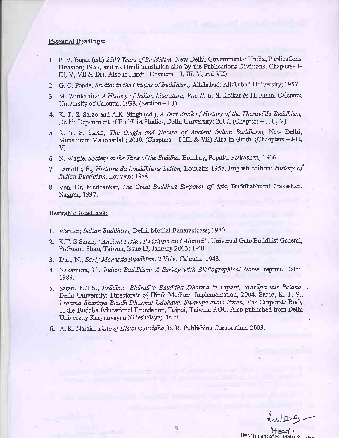#### **Essential Readings:**

- 1. P. V. Bapat (ed.) 2500 Years of Buddhism, New Delhi, Government of India, Publications Division; 1959, and its Hindi translation also by the Publications Divisions. Chapters- I- $III, V, VII & IX$ ). Also in Hindi. (Chapters - I, III, V, and VII)
- 2. G. C. Pande, Studies in the Origins of Buddhism, Allahabad: Allahabad University; 1957.
- 3. M. Winternitz; A History of Indian Literature, Vol. II, tr. S. Ketkar & H. Kuhn, Calcutta; University of Calcutta; 1933. (Section - III)
- 4. K. T. S. Sarao and A.K. Singh (ed.), A Text Book of History of the Theravada Buddhism, Delhi: Department of Buddhist Studies, Delhi University; 2007. (Chapters - I, II, V)
- 5. K. T. S. Sarao, The Origin and Nature of Ancient Indian Buddhism, New Delhi; Munshiram Mahoharlal; 2010. (Chapters - I-III, & VII) Also in Hindi. (Chaopters - I-II,  $V$
- 6. N. Wagle, Society at the Time of the Buddha, Bombay, Popular Prakashan; 1966
- 7. Lamotte, E., Histoire du bouddhisme indien, Louvain: 1958, English edition: History of Indian Buddhism, Louvain: 1988.
- 8. Ven. Dr. Medhankar, The Great Buddhist Emperor of Asia, Buddhabhumi Prakashan, Nagpur, 1997.

- 1. Warder; Indian Buddhism, Delhi; Motilal Banarasidass; 1980.
- 2. K.T. S Sarao, "Ancient Indian Buddhism and Ahimsa", Universal Gate Buddhist General, FoGuang Shan, Taiwan, Issue 13, January 2003; 1-40
- 3. Dutt, N., Early Monastic Buddhism, 2 Vols. Calcutta: 1943.
- 4. Nakamura, H., Indian Buddhism: A Survey with Bibliographical Notes, reprint, Delhi: 1989.
- 5. Sarao, K.T.S., Prācīna Bhāratīya Bauddha Dharma kī Utpatti, Svarūpa aur Patana,. Delhi University: Directorate of Hindi Medium Implementation, 2004. Sarao, K. T. S., Pracina Bhartiya Baudh Dharma: Udbhava, Swarupa evam Patan, The Corporate Body of the Buddha Educational Foundation, Taipei, Taiwan, ROC. Also published from Delhi University Karyanvayan Nideshalaya, Delhi.
- 6. A. K. Narain, Date of Historic Buddha, B. R. Publishing Corporation, 2003.

funtang

Department of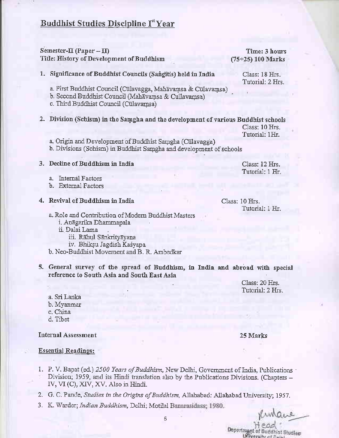# **Buddhist Studies Discipline Ist Year**

#### Semester- $\Pi$  (Paper -  $\Pi$ ) Title: History of Development of Buddhism

#### Time: 3 hours  $(75+25)$  100 Marks

Class: 18 Hrs. Tutorial: 2 Hrs.

1. Significance of Buddhist Councils (Sangitis) held in India

a. First Buddhist Council (Cūlavagga, Mahāyamsa & Cūlavamsa)

- b. Second Buddhist Council (Mahayamsa & Cullavamsa)
- c. Third Buddhist Council (Culavamsa)
- 2. Division (Schism) in the Samgha and the development of various Buddhist schools

Class: 10 Hrs. Tutorial: 1Hr.

Class: 12 Hrs. Tutorial: 1 Hr.

a. Origin and Development of Buddhist Samgha (Culavagga) b. Divisions (Schism) in Buddhist Samgha and development of schools

#### 3. Decline of Buddhism in India

a. Internal Factors

b. External Factors

#### 4. Revival of Buddhism in India

Class: 10 Hrs. Tutorial: 1 Hr.

- a. Role and Contribution of Modern Buddhist Masters
	- i. Anāgarika Dhammapala
	- ii. Dalai Lama
		- iii. Rāhul Sānkrityāyana
		- iv. Bhiksu Jagdish Kaśyapa
- b. Neo-Buddhist Movement and B. R. Ambedkar
- 5. General survey of the spread of Buddhism, in India and abroad with special reference to South Asia and South East Asia

Class: 20 Hrs. Tutorial: 2 Hrs.

25 Marks

a. Sri Lanka b. Myanmar c. China d. Tibet

#### **Internal Assessment**

**Essential Readings:** 

- 1. P. V. Bapat (ed.) 2500 Years of Buddhism, New Delhi, Government of India, Publications Division; 1959, and its Hindi translation also by the Publications Divisions. (Chapters -IV, VI (C), XIV, XV. Also in Hindi.
- 2. G. C. Pande, Studies in the Origins of Buddhism, Allahabad: Allahabad University; 1957.
- 3. K. Warder; Indian Buddhism, Delhi; Motilal Banarasidass; 1980.

Department of Buddhist Studies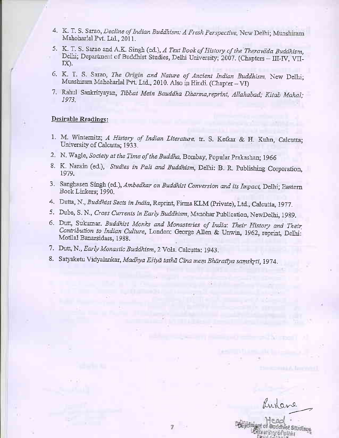- 4. K. T. S. Sarao, Decline of Indian Buddhism: A Fresh Perspective, New Delhi; Munshiram Mahoharlal Pvt. Ltd., 2011.
- 5. K. T. S. Sarao and A.K. Singh (ed.), A Text Book of History of the Theravada Buddhism, Delhi; Department of Buddhist Studies, Delhi University; 2007. (Chapters - III-IV, VII-IX).
- 6. K. T. S. Sarao, The Origin and Nature of Ancient Indian Buddhism, New Delhi; Munshiram Mahoharlal Pvt. Ltd., 2010. Also in Hindi. (Chapter - VI)
- 7. Rahul Sankrityayan, Tibbat Mein Bauddha Dharma, reprint, Allahabad; Kitab Mahal; 1973.

- 1. M. Winternitz; A History of Indian Literature, tr. S. Ketkar & H. Kuhn, Calcutta; University of Calcutta; 1933.
- 2. N. Wagle, Society at the Time of the Buddha, Bombay, Popular Prakashan; 1966
- 8. K. Narain (ed.), Studies in Pali and Buddhism, Delhi: B. R. Publishing Corporation, 1979.
- 3. Sanghasen Singh (ed.), Ambedkar on Buddhist Conversion and its Impact, Delhi; Eastern Book Linkers; 1990.
- 4. Dutta, N., Buddhist Sects in India, Reprint, Firma KLM (Private), Ltd., Calcutta, 1977.
- 5. Dube, S. N., Cross Currents in Early Buddhism, Manohar Publication, NewDelhi, 1989.
- 6. Dutt, Sukumar. Buddhist Monks and Monasteries of India: Their History and Their Contribution to Indian Culture, London: George Allen & Unwin, 1962, reprint, Delhi: Motilal Banarsidass, 1988.
- 7. Dutt, N., Early Monastic Buddhism, 2 Vols. Calcutta: 1943.
- 8. Satyaketu Vidyalankar, Madhya Eśiyā tathā Cina mem Bhāratīya samskrti, 1974.

Runave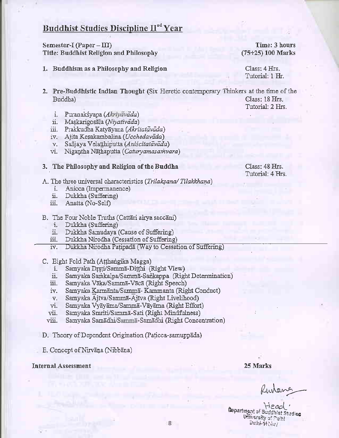# Buddhist Studies Discipline II<sup>nd</sup> Year

#### Semester-I (Paper  $-$  III) Title: Buddhist Religion and Philosophy

- 1. Buddhism as a Philosophy and Religion
- 2. Pre-Buddhistic Indian Thought (Six Heretic contemporary Thinkers at the time of the Buddha) Class: 18 Hrs.
	- i. Puranakśyapa (Akrivavada)
	- Maskarigosāla (Niyativāda)  $ii.$
	- iii. Prakkudha Katyāyana (Akritatāvāda)
	- iv. Ajita Kesakambalina (Ucchedavāda)
	- v. Sañjaya Velatthiputta (Aniscitatāvāda)
	- vi. Nigantha Nāthaputta (Caturyamasamvara)
- 3. The Philosophy and Religion of the Buddha
- A. The three universal characteristics (Trilaksana/Tilakkhana)
	- Anicca (Impermanence)  $i$ .
	- Dukkha (Suffering) ii.
	- iii. Anatta (No-Self)
- B. The Four Noble Truths (Cattari airya saccani)
	- i. Dukkha (Suffering)
	- ii. Dukkha Samudaya (Cause of Suffering)
	- Dukkha Nirodha (Cessation of Suffering) iii.
	- Dukkha Nirodha Patipada (Way to Cessation of Suffering) iv.
- C. Eight Fold Path (Atthangika Magga)
	- Samyaka Drsti/Samma-Ditthi (Right View) i.
	- Samyaka Samkalpa/Sammā-Sankappa (Right Determination) ä.
	- Samyaka Vāka/Sammā-Vācā (Right Speech) ш.
	- iv. Samyaka Karmanta/Samma-Kammanta (Right Conduct)
	- Samyaka Ajīva/Sammā-Ajīva (Right Livelihood)  $V_{\star}$
	- Samyaka Vyāyāma/Sammā-Vāyāma (Right Effort) vi.
	- Samyaka Smriti/Sammā-Sati (Right Mindfulness) vü.
	- Samyaka Samadhi/Summa-Samadhi (Right Concentration) viii.
- D. Theory of Dependent Origination (Paticca-samuppada)
- E. Concept of Nirvana (Nibbana)

#### **Internal Assessment**

25 Marks

Rutene

Head ' Department of Buddhist Studies University of Pelhi Behal Helser

Class: 48 Hrs. Tutorial: 4 Hrs.

(75+25) 100 Marks

Tutorial: 2 Hrs.

Class: 4 Hrs. Tutorial: 1 Hr.

Time: 3 hours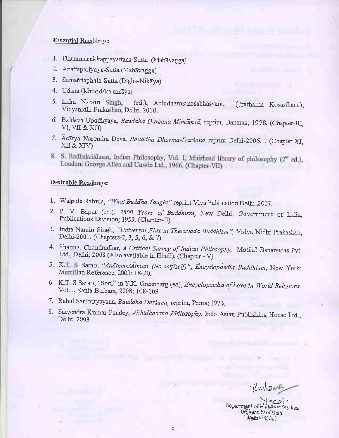#### Esseutial Readings:

- 1. Dhammacakkappavattana-Sutta (Mahavagga)
- 2. Anattapariyaya-Sutta (Mahavagga)
- 3. Sāmaññaphala-Sutta (Dīgha-Nikāya)
- 4. Udana (Khuddaka nikaya)
- 5. Indra Narain Singh, (ed.), Abhidharmakośabhasyam, (Prathama Kosasthana), Vidyanidhi Praka ham Delhi. 2010.
- 6. Baldeva Upadhyaya, Bauddha Darsana Mimamsa, reprint, Banaras; 1978. (Chapter-III, VI, VII & XII)
- 7. Acārya Narendra Deva, Bauddha Dharma-Darsana reprint Delhi-2006. . (Chapter-XI, XII & XIV)
- 8. S. Radhakrishnan, Indian Philosophy, Vol. I, Muirhead library of philosophy (2<sup>nd</sup> ed.), London: George Allen and Unwin Ltd., 1966. (Chapter-VII).

- 1. Walpole Rahula, "What Buddha Taught" reprint Viva Publication Delhi-2007.
- 2. P. V. Bapat (ed.), 2500 Years of Buddhism, New Delhi; Government of India, Publications Division; 1959. (Chapter-II)
- 3. Indra Narain Singh, "Universal Flux in Theravada Buddhism", Vidya Nidhi Prakashan, Delhi-2001. (Chapters-2, 3, 5, 6, & 7)
- 4. Sharma, Chandradhar, A Critical Survey of Indian Philosophy, Motilal Banarsidas Pyt. Ltd., Delhi, 2003 (Also available in Hindi). (Chapter - V)
- 5. K.T. S Sarao, "Anatman/Atman (No-self/self)", Encyclopaedia Buddhism, New York; Memillan Reference, 2003; 18-20.
- 6. K.T. S Sarao, "Soul" in Y.K. Greenbarg (ed), *Encyclopaedia of Love in World Religions*, Vol. I, Santa Barbar 1, 2008; 108-109.
- 7. Rahul Sankrityayana, Bauddha Darśana, reprint, Patna; 1973.
- 8. Satyendra Kumar Pandey, Abhidhamma Philosophy, Indo Asian Publishing House Ltd., Delhi. 2003

Rubara

- Head<br>Department of Buddhist Studies Lingversity of Dathj Feili-t:i:'ii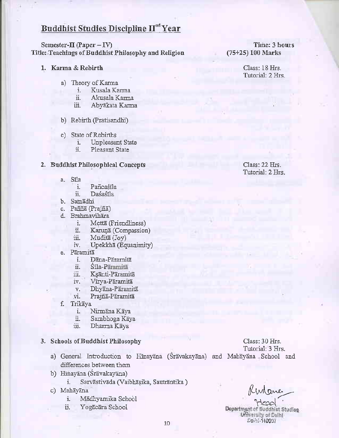# Buddhist Studies Discipline  $\mathbf{H}^{\text{nd}}$ Year

Semester-II (Paper - IV) Title: Teachings of Buddhist Philosophy and Religion

- 1. Karma  $&$  Rebirth
	- a) Theory of Kama
		- i. Kusala Karma
		- ii. Akusala Karma<br>iii. Abyākata Karma
		- Abyakata Karma
	- b) Rebirth (Pratisandhi)
	- c) State of Rebirths
		- i. Unpleasant State<br>ii. Pleasant State
		- Pleasant State

#### 2. Buddhist Philosophical Concepts Class: 22 Hrs.

- a. Sila
	- Pañcaśila
	- ii. Da6a6ila
- b. Samadhi
- c. Pañña (Prajñā)
- d. Brahmavihāra
	- i. Mettā (Friendliness)<br>ii. Karunā (Comnassion
	- Karunā (Compassion)
	- iii. MudifE (Joy)
	- iv. Upekkhā (Equanimity)
- e. Pāramitā
	- Dāna-Pāramitā
	- ii. Sila-Päramitä
	- iii. Ksānti-Pāramitā
	- iY. Virya-Paramita
	- v. Dhyāna-Pāramitā
	- vi. Prajñā-Pāramitā
- f. Trikaya
	- i. Nirmana Kaya
	- ii. Sambhoga Kaya
	- iii. Dharma Kaya

### 3. Schools of Buddhist Philosophy

- a) General Introduction to Hinayana (Sravakayana) and Mahayana School and differences between them
- b) Hīnayāna (Śrāvakayāna)
	- i. Sarvāstivāda (Vaibhāsika, Sautrāntika)
- c) Mahāvāna
	- i. Mādhyamika School
	- ii. Yogacara School

Class: 30 Hrs. Tutorial: 3 Hrs.

Kinane

Department of Buddhist Studies **Wersity of Delhi**  $10^{10}$  Seph  $9907$ 

Time: 3 hours (75+25) 100 Marks

> Class: 18 Hrs. Tutorial: 2 Hrs.

Tutorial: 2 IIrs.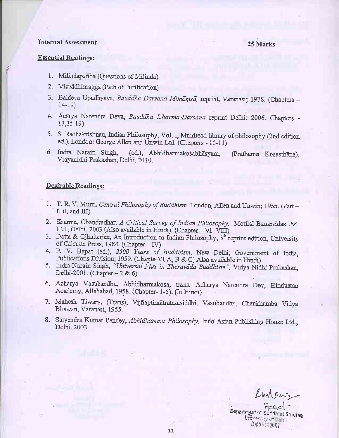#### Internal Assessment

#### 25 Marks

#### Essential Readings:

{

- 1. Milindapañha (Questions of Milinda)
- 2. Visuddhimagga (Path of Purification)
- 3. Baldeva Upadhyaya, Bauddha Darsana Mimāmsā, reprint, Varanasi; 1978. (Chapters -14\_19)
- 4. Acarya Narendra Deva, Bauddha Dharma-Darsana reprint Delhi: 2006. Chapters -13.15-19)
- 5. S. Radhakrishnan, Indian Philosophy, Vol. I, Muirhead library of philosophy (2nd edition ed.). London: George Allen and Unwin Ltd. (Chapters 10-11)
- (ed.), Abhidharmakośabhasyam, (Prathama Kosasthana), Vidyanidhi Prakashan, Delhi. 2010. 6. Indra Narain Singh,

- 1. T. R. V. Murti, *Central Philosophy of Buddhism*. London, Allen and Unwin; 1955. (Part I,  $\Pi$ , and  $\Pi$
- 2. Sharma, Chandradhar, A Critical Survey of Indian Philosophy, Motilal Banarsidas Pvt. Ltd., Delhi, 2003 (Also available in Hindi). (Chapter - VI- VIII)
- 3. Datta & Cjhatterjee, An Introduction to Indian Philosophy,  $8^{\text{th}}$  reprint edition, University of Calcutta Press, 1984. (Chapter  $-$  IV)
- 4. P. V. Bapat (ed.), 2500 Tears of Buddhism, New Delhi; Government of India, Publications Division; 1959. (Chapte-VI A, B & C) Also available in Hindi)
- 5. Indra Narain Singh, "Universal Flux in Theravada Buddhism", Vidya Nidhi Prakashan, Delhi-2001. (Chapter  $-2 & 6$ )
- 6. Acharya Vasubandhu, Abhidharmakosa, trans. Acharya Narendra Dev, Hindustan Academy, Allahabad, 1958. (Chapter- 1-5). (In Hindi)
- 7. Mahesh Tiwary, (Trans), Vijñaptimātratatāsiddhi, Vasubandhu, Chaukhamba Vidya Bhawan, Varanasi, 1955.
- 8. Satyendra Kumar Pandey, *Abhidhamma Philosophy*, Indo Asian Publishing House Ltd., Delhi. 2003

fun ane

Head. Department of Buddhist Studies Delhi isgiga 1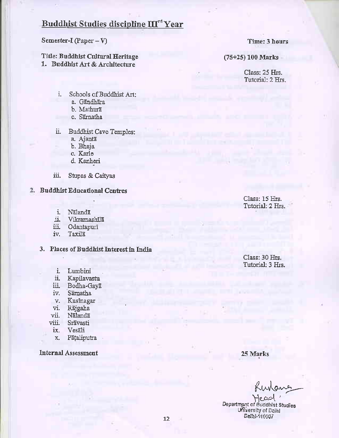# Buddhist Studies discipline III<sup>rd</sup> Year

Semester-I (Paper  $-V$ )

Title: Buddhist Cultural Heritage 1. Buddhist Art & Architecture

Time: 3 hours

(75+25) 100 Marks

Class: 25 Hrs. Tutorial: 2 Hrs.

- i. Schools of Buddhist Art:
	- a. Gāndhāra
	- b. Mathura
	- c. Sāmatha

ii. -**Buddhist Cave Temples:** 

- a. Ajantā
- b. Bhaja
- c. Karle
- d. Kanheri
- iii. Stupas & Caityas
- 2. Buddhist Educational Centres
	- i. Nālandā
	- ü. Vikramashila
	- iii. Odantapurī
	- iv. Taxila
	- 3. Places of Buddhist Interest in India
		- i. Lumbini
		- ii. Kapilavastu
		- iii. Bodha-Gaya
		- iv. Samatha
		- v. Kusinagar
		- vi. Rājgaha
		- vii. Nālandā
		- viii. Srāvasti
		- ix. Vesali
		- Pāțaliputra  $X_{\cdot}$

**Internal Assessment** 

Class: 15 Hrs. Tutorial: 2 Hrs.

Class: 30 Hrs. Tutorial: 3 Hrs.

25 Marks

unang

Department of Buddhist Studies University of Dolhl Deini-110007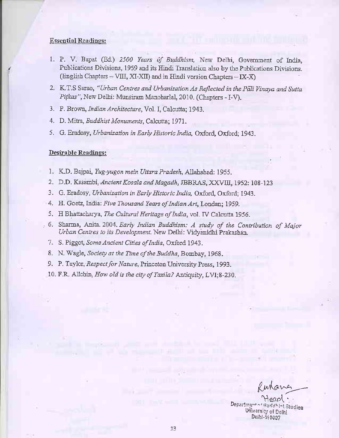#### **Essential Readings:**

- 1. P. V. Bapat (Ed.) 2500 Years of Buddhism, New Delhi, Government of India, Publications Divisions, 1959 and its Hindi Translation also by the Publications Divisions. (English Chapters - VIII, XI-XII) and in Hindi version Chapters - IX-X)
- 2. K.T.S Sarao, "Urban Centres and Urbanization As Reflected in the Pali Vinaya and Sutta Pitkas", New Delhi: Munsiram Manoharlal, 2010. (Chapters - I-V).
- 3. P. Brown, Indian Architecture, Vol. I, Calcutta; 1943.
- 4. D. Mitra, Buddhist Monuments, Calcutta; 1971.
- 5. G. Eradosy, Urbanization in Early Historic India, Oxford, Oxford; 1943.

- 1. K.D. Bajpai, Yug-yugon mein Uttara Pradesh, Allahabad: 1955.
- 2. D.D. Kasambi, Ancient Kosala and Magadh, JBBRAS, XXVIII, 1952: 108-123
- 3. G. Eradosy, Urbanization in Early Historic India, Oxford, Oxford; 1943.
- 4. H. Goetz, India: Five Thousand Years of Indian Art, Londan; 1959.
- 5. H Bhattacharya, The Cultural Heritage of India, vol. IV Calcutta 1956.
- 6. Sharma, Anita. 2004. Early Indian Buddhism: A study of the Contribution of Major Urban Centres to its Development. New Delhi: Vidyanidhi Prakashan.
- 7. S. Piggot, Some Ancient Cities of India, Oxford 1943.
- 8. N. Wagle, Society at the Time of the Buddha, Bombay, 1968.
- 9. P. Taylor, *Respect for Nature*, Princeton University Press, 1993.
- 10. F.R. Allchin, How old is the city of Taxila? Antiquity, LVI:8-230.

Departmento thint Studies **University of Delhi** Delhi-140007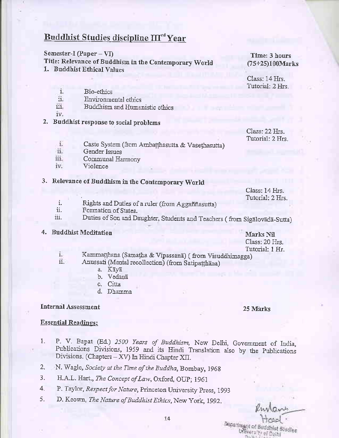# Buddhist Studies discipline III<sup>rd</sup> Year

#### Semester-I (Paper –  $VI$ )

Title: Relevance of Buddhism in the Contemporary World

1. Buddhist Ethical Values

Time: 3 hours (75+25)100Marks

Class: 14 Hrs. Tutorial: 2 Hrs

- i. Bio-ethics
- H. Environmental ethics
- üī. Buddhism and Humanistic ethics
- $IV_{-}$
- 2. Buddhist response to social problems

Class: 22 Hrs. Tutorial: 2 Hrs.

- Ĭ. Caste System (from Ambatthasutta & Vasethasutta)
- īi. Gender Issues
- Communal Harmony iii.
- iv. Violence

## 3. Relevance of Buddhism in the Contemporary World

Class: 14 Hrs. Tutorial: 2 Hrs.

- Rights and Duties of a ruler (from Aggaññasutta) i.
- ii. Formation of States.
- Duties of Son and Daughter, Students and Teachers (from Sigalovada-Sutta) iii.
- 4. Buddhist Meditation

Marks Nil Class: 20 Hrs. Tutorial: 1 Hr.

- Kammatthana (Samatha & Vipassana) (from Visuddhimagga) L.  $ii$ .
	- Anussati (Mental recollection) (from Satipatthäna)
		- a. Kāyā
		- b. Vedanā
		- c. Citta
		- d. Dhamma

### **Internal Assessment**

#### 25 Marks

#### **Essential Readings:**

- P. V. Bapat (Ed.) 2500 Years of Buddhism, New Delhi, Government of India, ī. Publications Divisions, 1959 and its Hindi Translation also by the Publications Divisions. (Chapters - XV) In Hindi Chapter XII.
- N. Wagle, Society at the Time of the Buddha, Bombay, 1968 2.
- 3. H.A.L. Hart., The Concept of Law, Oxford, OUP; 1961
- P. Taylor, Respect for Nature, Princeton University Press, 1993 4.
- D. Keown, The Nature of Buddhist Ethics, New York, 1992. 5.

separtnears of Buddhist Studies wars to of Daily